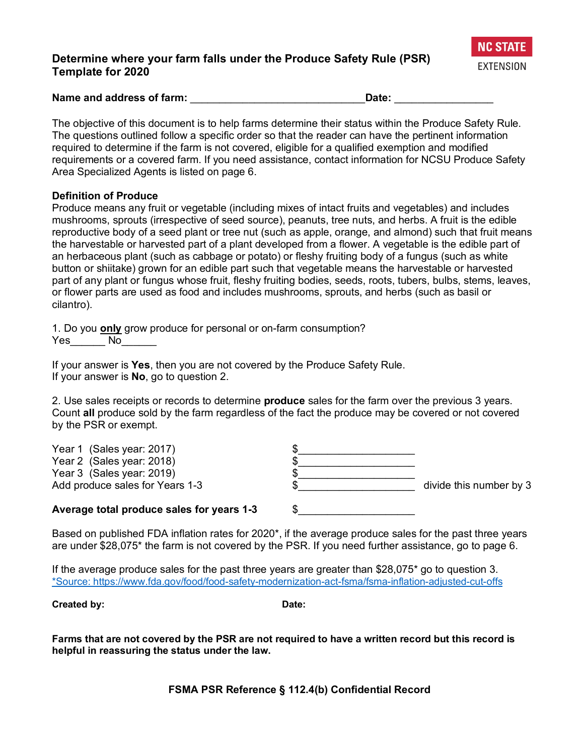## **Determine where your farm falls under the Produce Safety Rule (PSR) Template for 2020**



**Name and address of farm:** \_\_\_\_\_\_\_\_\_\_\_\_\_\_\_\_\_\_\_\_\_\_\_\_\_\_\_\_\_\_**Date:** \_\_\_\_\_\_\_\_\_\_\_\_\_\_\_\_\_

The objective of this document is to help farms determine their status within the Produce Safety Rule. The questions outlined follow a specific order so that the reader can have the pertinent information required to determine if the farm is not covered, eligible for a qualified exemption and modified requirements or a covered farm. If you need assistance, contact information for NCSU Produce Safety Area Specialized Agents is listed on page 6.

### **Definition of Produce**

Produce means any fruit or vegetable (including mixes of intact fruits and vegetables) and includes mushrooms, sprouts (irrespective of seed source), peanuts, tree nuts, and herbs. A fruit is the edible reproductive body of a seed plant or tree nut (such as apple, orange, and almond) such that fruit means the harvestable or harvested part of a plant developed from a flower. A vegetable is the edible part of an herbaceous plant (such as cabbage or potato) or fleshy fruiting body of a fungus (such as white button or shiitake) grown for an edible part such that vegetable means the harvestable or harvested part of any plant or fungus whose fruit, fleshy fruiting bodies, seeds, roots, tubers, bulbs, stems, leaves, or flower parts are used as food and includes mushrooms, sprouts, and herbs (such as basil or cilantro).

1. Do you **only** grow produce for personal or on-farm consumption? Yes\_\_\_\_\_\_ No

If your answer is **Yes**, then you are not covered by the Produce Safety Rule. If your answer is **No**, go to question 2.

2. Use sales receipts or records to determine **produce** sales for the farm over the previous 3 years. Count **all** produce sold by the farm regardless of the fact the produce may be covered or not covered by the PSR or exempt.

| Average total produce sales for years 1-3 |                         |
|-------------------------------------------|-------------------------|
| Add produce sales for Years 1-3           | divide this number by 3 |
| Year 3 (Sales year: 2019)                 |                         |
| Year 2 (Sales year: 2018)                 |                         |
| Year 1 (Sales year: 2017)                 |                         |

Based on published FDA inflation rates for 2020\*, if the average produce sales for the past three years are under \$28,075\* the farm is not covered by the PSR. If you need further assistance, go to page 6.

If the average produce sales for the past three years are greater than  $$28,075^*$  go to question 3. \*Source: https://www.fda.gov/food/food-safety-modernization-act-fsma/fsma-inflation-adjusted-cut-offs

**Created by: Date:**

**Farms that are not covered by the PSR are not required to have a written record but this record is helpful in reassuring the status under the law.**

**FSMA PSR Reference § 112.4(b) Confidential Record**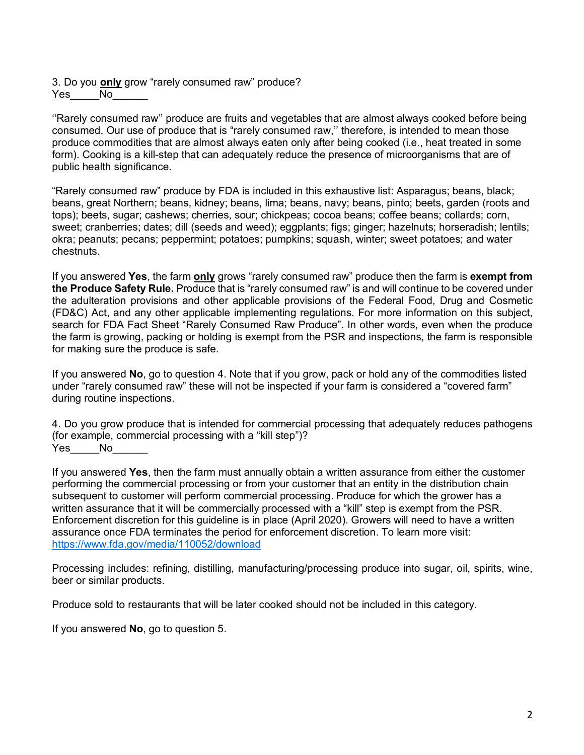3. Do you **only** grow "rarely consumed raw" produce?  $Yes$   $No$ 

''Rarely consumed raw'' produce are fruits and vegetables that are almost always cooked before being consumed. Our use of produce that is "rarely consumed raw,'' therefore, is intended to mean those produce commodities that are almost always eaten only after being cooked (i.e., heat treated in some form). Cooking is a kill-step that can adequately reduce the presence of microorganisms that are of public health significance.

"Rarely consumed raw" produce by FDA is included in this exhaustive list: Asparagus; beans, black; beans, great Northern; beans, kidney; beans, lima; beans, navy; beans, pinto; beets, garden (roots and tops); beets, sugar; cashews; cherries, sour; chickpeas; cocoa beans; coffee beans; collards; corn, sweet; cranberries; dates; dill (seeds and weed); eggplants; figs; ginger; hazelnuts; horseradish; lentils; okra; peanuts; pecans; peppermint; potatoes; pumpkins; squash, winter; sweet potatoes; and water chestnuts.

If you answered **Yes**, the farm **only** grows "rarely consumed raw" produce then the farm is **exempt from the Produce Safety Rule.** Produce that is "rarely consumed raw" is and will continue to be covered under the adulteration provisions and other applicable provisions of the Federal Food, Drug and Cosmetic (FD&C) Act, and any other applicable implementing regulations. For more information on this subject, search for FDA Fact Sheet "Rarely Consumed Raw Produce". In other words, even when the produce the farm is growing, packing or holding is exempt from the PSR and inspections, the farm is responsible for making sure the produce is safe.

If you answered **No**, go to question 4. Note that if you grow, pack or hold any of the commodities listed under "rarely consumed raw" these will not be inspected if your farm is considered a "covered farm" during routine inspections.

4. Do you grow produce that is intended for commercial processing that adequately reduces pathogens (for example, commercial processing with a "kill step")? Yes\_\_\_\_No\_

If you answered **Yes**, then the farm must annually obtain a written assurance from either the customer performing the commercial processing or from your customer that an entity in the distribution chain subsequent to customer will perform commercial processing. Produce for which the grower has a written assurance that it will be commercially processed with a "kill" step is exempt from the PSR. Enforcement discretion for this guideline is in place (April 2020). Growers will need to have a written assurance once FDA terminates the period for enforcement discretion. To learn more visit: https://www.fda.gov/media/110052/download

Processing includes: refining, distilling, manufacturing/processing produce into sugar, oil, spirits, wine, beer or similar products.

Produce sold to restaurants that will be later cooked should not be included in this category.

If you answered **No**, go to question 5.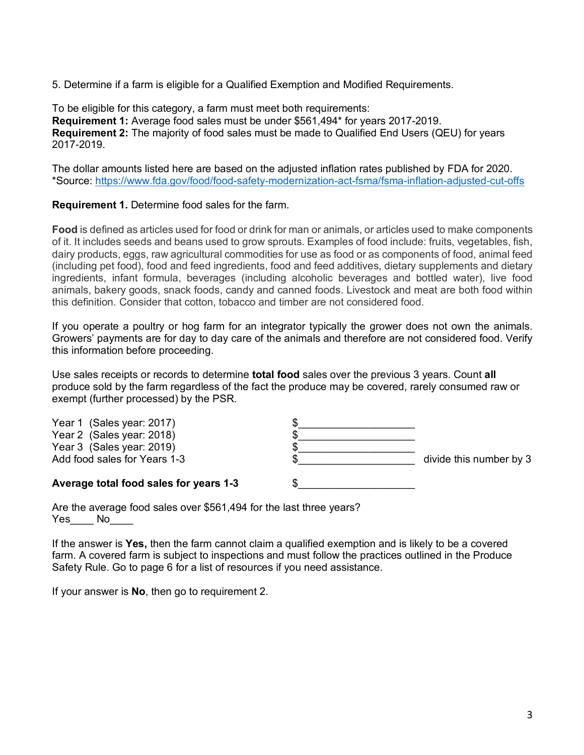5. Determine if a farm is eligible for a Qualified Exemption and Modified Requirements.

To be eligible for this category, a farm must meet both requirements: **Requirement 1:** Average food sales must be under \$561,494\* for years 2017-2019. **Requirement 2:** The majority of food sales must be made to Qualified End Users (QEU) for years 2017-2019.

The dollar amounts listed here are based on the adjusted inflation rates published by FDA for 2020. \*Source: https://www.fda.gov/food/food-safety-modernization-act-fsma/fsma-inflation-adjusted-cut-offs

### **Requirement 1.** Determine food sales for the farm.

**Food** is defined as articles used for food or drink for man or animals, or articles used to make components of it. It includes seeds and beans used to grow sprouts. Examples of food include: fruits, vegetables, fish, dairy products, eggs, raw agricultural commodities for use as food or as components of food, animal feed (including pet food), food and feed ingredients, food and feed additives, dietary supplements and dietary ingredients, infant formula, beverages (including alcoholic beverages and bottled water), live food animals, bakery goods, snack foods, candy and canned foods. Livestock and meat are both food within this definition. Consider that cotton, tobacco and timber are not considered food.

If you operate a poultry or hog farm for an integrator typically the grower does not own the animals. Growers' payments are for day to day care of the animals and therefore are not considered food. Verify this information before proceeding.

Use sales receipts or records to determine **total food** sales over the previous 3 years. Count **all**  produce sold by the farm regardless of the fact the produce may be covered, rarely consumed raw or exempt (further processed) by the PSR.

| Year 1 (Sales year: 2017)<br>Year 2 (Sales year: 2018)    |                         |
|-----------------------------------------------------------|-------------------------|
| Year 3 (Sales year: 2019)<br>Add food sales for Years 1-3 | divide this number by 3 |
| Average total food sales for years 1-3                    |                         |

Are the average food sales over \$561,494 for the last three years? Yes\_\_\_\_ No

If the answer is **Yes,** then the farm cannot claim a qualified exemption and is likely to be a covered farm. A covered farm is subject to inspections and must follow the practices outlined in the Produce Safety Rule. Go to page 6 for a list of resources if you need assistance.

If your answer is **No**, then go to requirement 2.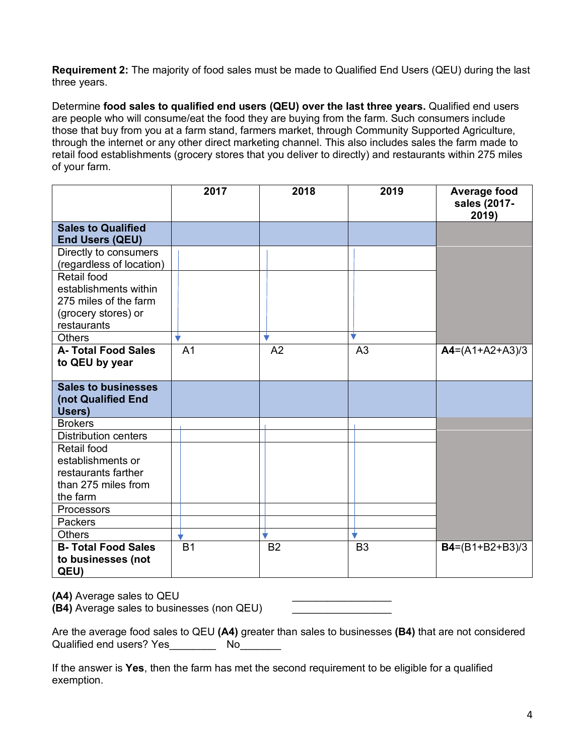**Requirement 2:** The majority of food sales must be made to Qualified End Users (QEU) during the last three years.

Determine **food sales to qualified end users (QEU) over the last three years.** Qualified end users are people who will consume/eat the food they are buying from the farm. Such consumers include those that buy from you at a farm stand, farmers market, through Community Supported Agriculture, through the internet or any other direct marketing channel. This also includes sales the farm made to retail food establishments (grocery stores that you deliver to directly) and restaurants within 275 miles of your farm.

|                                                            | 2017           | 2018           | 2019           | Average food<br>sales (2017-<br>2019) |
|------------------------------------------------------------|----------------|----------------|----------------|---------------------------------------|
| <b>Sales to Qualified</b>                                  |                |                |                |                                       |
| <b>End Users (QEU)</b>                                     |                |                |                |                                       |
| Directly to consumers<br>(regardless of location)          |                |                |                |                                       |
| Retail food                                                |                |                |                |                                       |
| establishments within                                      |                |                |                |                                       |
| 275 miles of the farm                                      |                |                |                |                                       |
| (grocery stores) or                                        |                |                |                |                                       |
| restaurants                                                |                |                |                |                                       |
| <b>Others</b>                                              |                |                |                |                                       |
| <b>A-Total Food Sales</b><br>to QEU by year                | A <sub>1</sub> | A <sub>2</sub> | A <sub>3</sub> | $AA=(A1+A2+A3)/3$                     |
| <b>Sales to businesses</b><br>(not Qualified End<br>Users) |                |                |                |                                       |
| <b>Brokers</b>                                             |                |                |                |                                       |
| <b>Distribution centers</b>                                |                |                |                |                                       |
| Retail food                                                |                |                |                |                                       |
| establishments or                                          |                |                |                |                                       |
| restaurants farther                                        |                |                |                |                                       |
| than 275 miles from<br>the farm                            |                |                |                |                                       |
| Processors                                                 |                |                |                |                                       |
| Packers                                                    |                |                |                |                                       |
| <b>Others</b>                                              |                |                |                |                                       |
| <b>B-Total Food Sales</b>                                  | <b>B1</b>      | B <sub>2</sub> | B <sub>3</sub> | $B4=(B1+B2+B3)/3$                     |
| to businesses (not<br>QEU)                                 |                |                |                |                                       |

**(A4)** Average sales to QEU

**(B4)** Average sales to businesses (non QEU)

| Are the average food sales to QEU (A4) greater than sales to businesses (B4) that are not considered |    |  |  |
|------------------------------------------------------------------------------------------------------|----|--|--|
| Qualified end users? Yes                                                                             | N٥ |  |  |

If the answer is **Yes**, then the farm has met the second requirement to be eligible for a qualified exemption.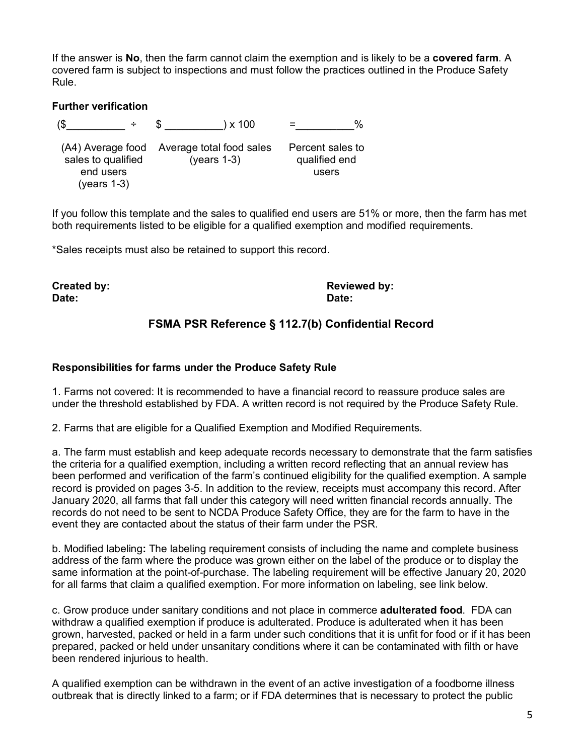If the answer is **No**, then the farm cannot claim the exemption and is likely to be a **covered farm**. A covered farm is subject to inspections and must follow the practices outlined in the Produce Safety Rule.

### **Further verification**

 $(\$ \rightarrow \$ \) \times 100 = \%$ (A4) Average food Average total food sales Percent sales to sales to qualified end users (years 1-3) (years 1-3) qualified end users

If you follow this template and the sales to qualified end users are 51% or more, then the farm has met both requirements listed to be eligible for a qualified exemption and modified requirements.

\*Sales receipts must also be retained to support this record.

**Date: Date:**

**Created by: Reviewed by:**

# **FSMA PSR Reference § 112.7(b) Confidential Record**

#### **Responsibilities for farms under the Produce Safety Rule**

1. Farms not covered: It is recommended to have a financial record to reassure produce sales are under the threshold established by FDA. A written record is not required by the Produce Safety Rule.

2. Farms that are eligible for a Qualified Exemption and Modified Requirements.

a. The farm must establish and keep adequate records necessary to demonstrate that the farm satisfies the criteria for a qualified exemption, including a written record reflecting that an annual review has been performed and verification of the farm's continued eligibility for the qualified exemption. A sample record is provided on pages 3-5. In addition to the review, receipts must accompany this record. After January 2020, all farms that fall under this category will need written financial records annually. The records do not need to be sent to NCDA Produce Safety Office, they are for the farm to have in the event they are contacted about the status of their farm under the PSR.

b. Modified labeling**:** The labeling requirement consists of including the name and complete business address of the farm where the produce was grown either on the label of the produce or to display the same information at the point-of-purchase. The labeling requirement will be effective January 20, 2020 for all farms that claim a qualified exemption. For more information on labeling, see link below.

c. Grow produce under sanitary conditions and not place in commerce **adulterated food**. FDA can withdraw a qualified exemption if produce is adulterated. Produce is adulterated when it has been grown, harvested, packed or held in a farm under such conditions that it is unfit for food or if it has been prepared, packed or held under unsanitary conditions where it can be contaminated with filth or have been rendered injurious to health.

A qualified exemption can be withdrawn in the event of an active investigation of a foodborne illness outbreak that is directly linked to a farm; or if FDA determines that is necessary to protect the public